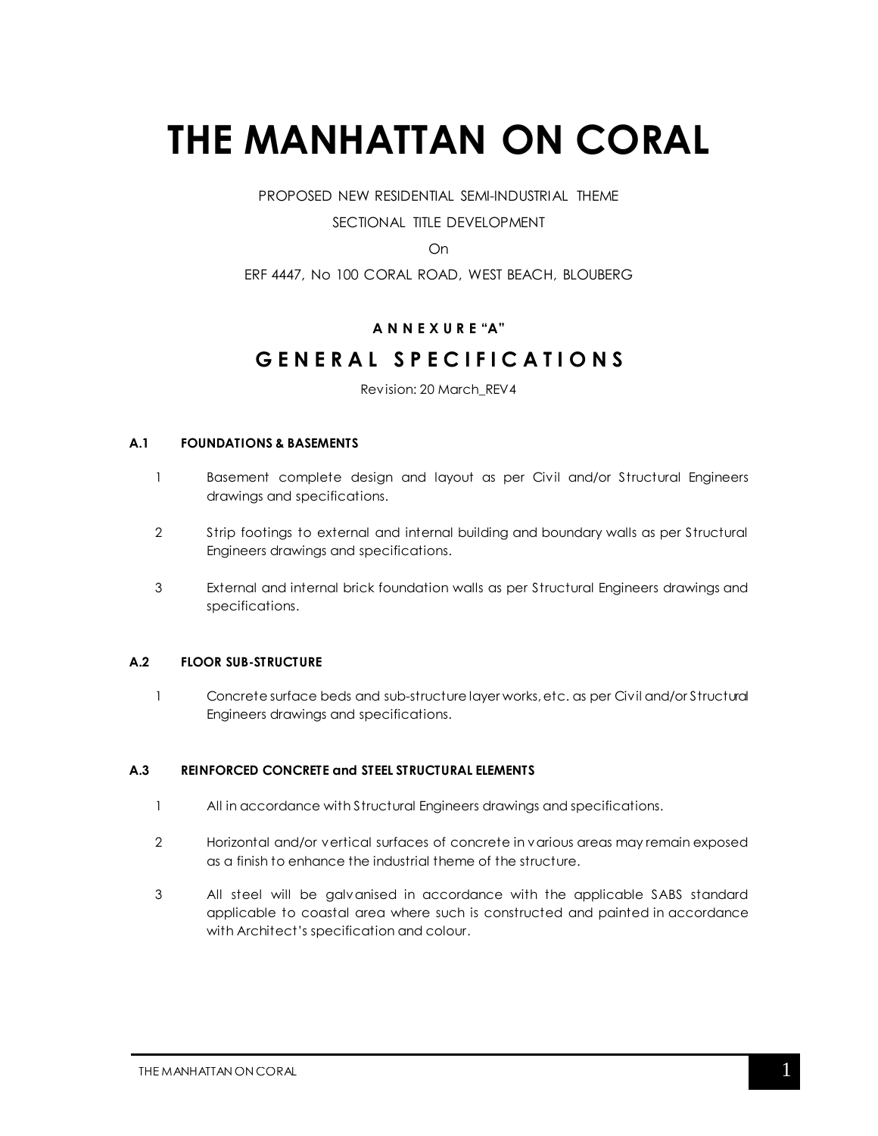# **THE MANHATTAN ON CORAL**

PROPOSED NEW RESIDENTIAL SEMI-INDUSTRIAL THEME

# SECTIONAL TITLE DEVELOPMENT

On

ERF 4447, No 100 CORAL ROAD, WEST BEACH, BLOUBERG

# **A N N E X U R E "A"**

# **G E N E R A L S P E C I F I C A T I O N S**

Revision: 20 March\_REV4

#### **A.1 FOUNDATIONS & BASEMENTS**

- 1 Basement complete design and layout as per Civil and/or Structural Engineers drawings and specifications.
- 2 Strip footings to external and internal building and boundary walls as per Structural Engineers drawings and specifications.
- 3 External and internal brick foundation walls as per Structural Engineers drawings and specifications.

#### **A.2 FLOOR SUB-STRUCTURE**

1 Concrete surface beds and sub-structure layer works, etc. as per Civil and/or Structural Engineers drawings and specifications.

#### **A.3 REINFORCED CONCRETE and STEEL STRUCTURAL ELEMENTS**

- 1 All in accordance with Structural Engineers drawings and specifications.
- 2 Horizontal and/or vertical surfaces of concrete in various areas may remain exposed as a finish to enhance the industrial theme of the structure.
- 3 All steel will be galvanised in accordance with the applicable SABS standard applicable to coastal area where such is constructed and painted in accordance with Architect's specification and colour.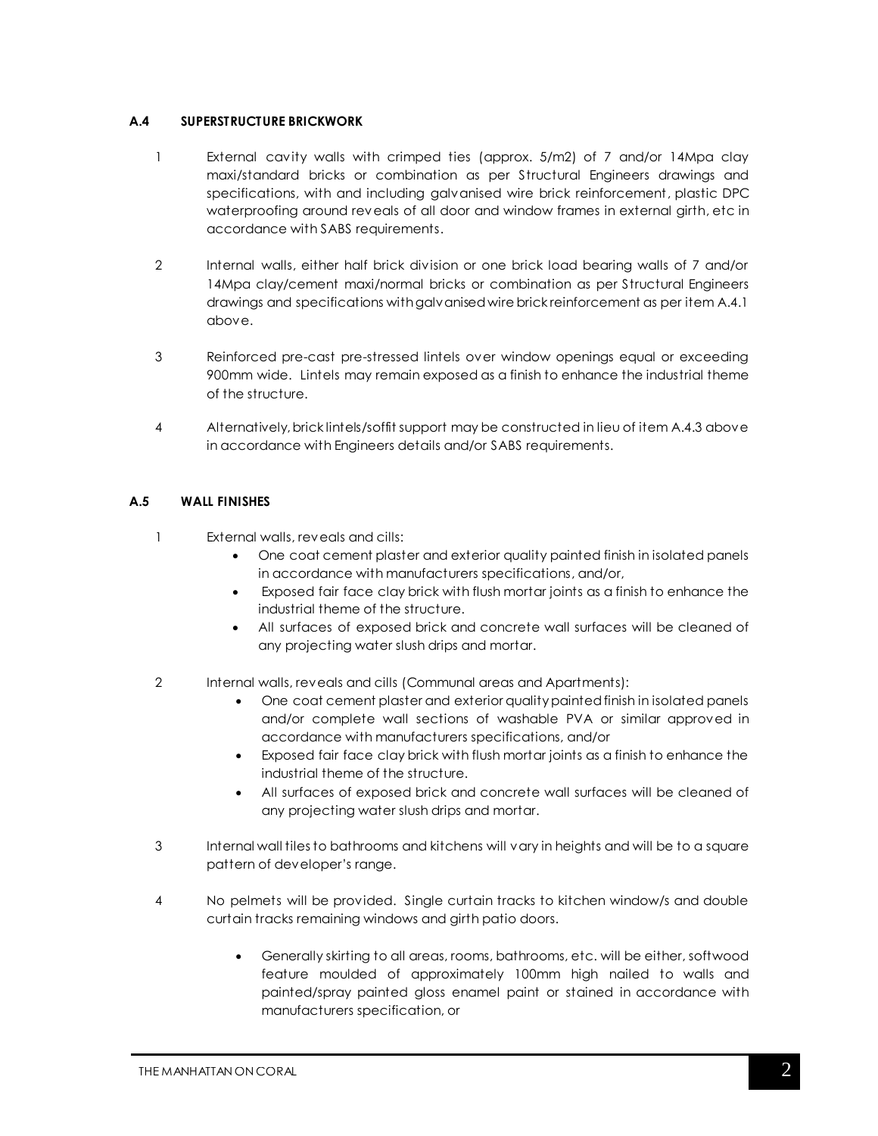#### **A.4 SUPERSTRUCTURE BRICKWORK**

- 1 External cavity walls with crimped ties (approx. 5/m2) of 7 and/or 14Mpa clay maxi/standard bricks or combination as per Structural Engineers drawings and specifications, with and including galvanised wire brick reinforcement, plastic DPC waterproofing around reveals of all door and window frames in external girth, etc in accordance with SABS requirements.
- 2 Internal walls, either half brick division or one brick load bearing walls of 7 and/or 14Mpa clay/cement maxi/normal bricks or combination as per Structural Engineers drawings and specifications with galvanised wire brick reinforcement as per item A.4.1 above.
- 3 Reinforced pre-cast pre-stressed lintels over window openings equal or exceeding 900mm wide. Lintels may remain exposed as a finish to enhance the industrial theme of the structure.
- 4 Alternatively, brick lintels/soffit support may be constructed in lieu of item A.4.3 above in accordance with Engineers details and/or SABS requirements.

# **A.5 WALL FINISHES**

- 1 External walls, reveals and cills:
	- One coat cement plaster and exterior quality painted finish in isolated panels in accordance with manufacturers specifications, and/or,
	- Exposed fair face clay brick with flush mortar joints as a finish to enhance the industrial theme of the structure.
	- All surfaces of exposed brick and concrete wall surfaces will be cleaned of any projecting water slush drips and mortar.
- 2 Internal walls, reveals and cills (Communal areas and Apartments):
	- One coat cement plaster and exterior quality painted finish in isolated panels and/or complete wall sections of washable PVA or similar approved in accordance with manufacturers specifications, and/or
	- Exposed fair face clay brick with flush mortar joints as a finish to enhance the industrial theme of the structure.
	- All surfaces of exposed brick and concrete wall surfaces will be cleaned of any projecting water slush drips and mortar.
- 3 Internal wall tiles to bathrooms and kitchens will vary in heights and will be to a square pattern of developer's range.
- 4 No pelmets will be provided. Single curtain tracks to kitchen window/s and double curtain tracks remaining windows and girth patio doors.
	- Generally skirting to all areas, rooms, bathrooms, etc. will be either, softwood feature moulded of approximately 100mm high nailed to walls and painted/spray painted gloss enamel paint or stained in accordance with manufacturers specification, or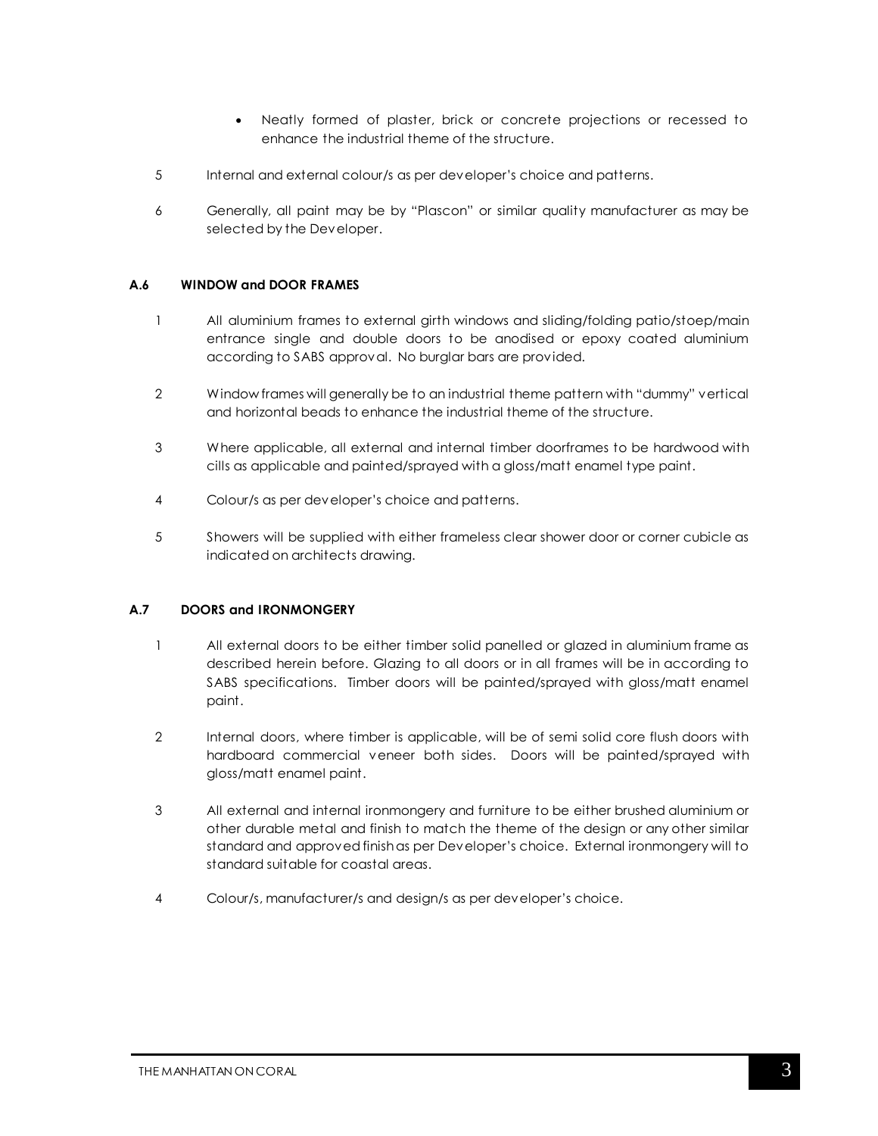- Neatly formed of plaster, brick or concrete projections or recessed to enhance the industrial theme of the structure.
- 5 Internal and external colour/s as per developer's choice and patterns.
- 6 Generally, all paint may be by "Plascon" or similar quality manufacturer as may be selected by the Developer.

#### **A.6 WINDOW and DOOR FRAMES**

- 1 All aluminium frames to external girth windows and sliding/folding patio/stoep/main entrance single and double doors to be anodised or epoxy coated aluminium according to SABS approval. No burglar bars are provided.
- 2 Window frames will generally be to an industrial theme pattern with "dummy" vertical and horizontal beads to enhance the industrial theme of the structure.
- 3 Where applicable, all external and internal timber doorframes to be hardwood with cills as applicable and painted/sprayed with a gloss/matt enamel type paint.
- 4 Colour/s as per developer's choice and patterns.
- 5 Showers will be supplied with either frameless clear shower door or corner cubicle as indicated on architects drawing.

#### **A.7 DOORS and IRONMONGERY**

- 1 All external doors to be either timber solid panelled or glazed in aluminium frame as described herein before. Glazing to all doors or in all frames will be in according to SABS specifications. Timber doors will be painted/sprayed with gloss/matt enamel paint.
- 2 Internal doors, where timber is applicable, will be of semi solid core flush doors with hardboard commercial veneer both sides. Doors will be painted/sprayed with gloss/matt enamel paint.
- 3 All external and internal ironmongery and furniture to be either brushed aluminium or other durable metal and finish to match the theme of the design or any other similar standard and approvedfinish as per Developer's choice. External ironmongery will to standard suitable for coastal areas.
- 4 Colour/s, manufacturer/s and design/s as per developer's choice.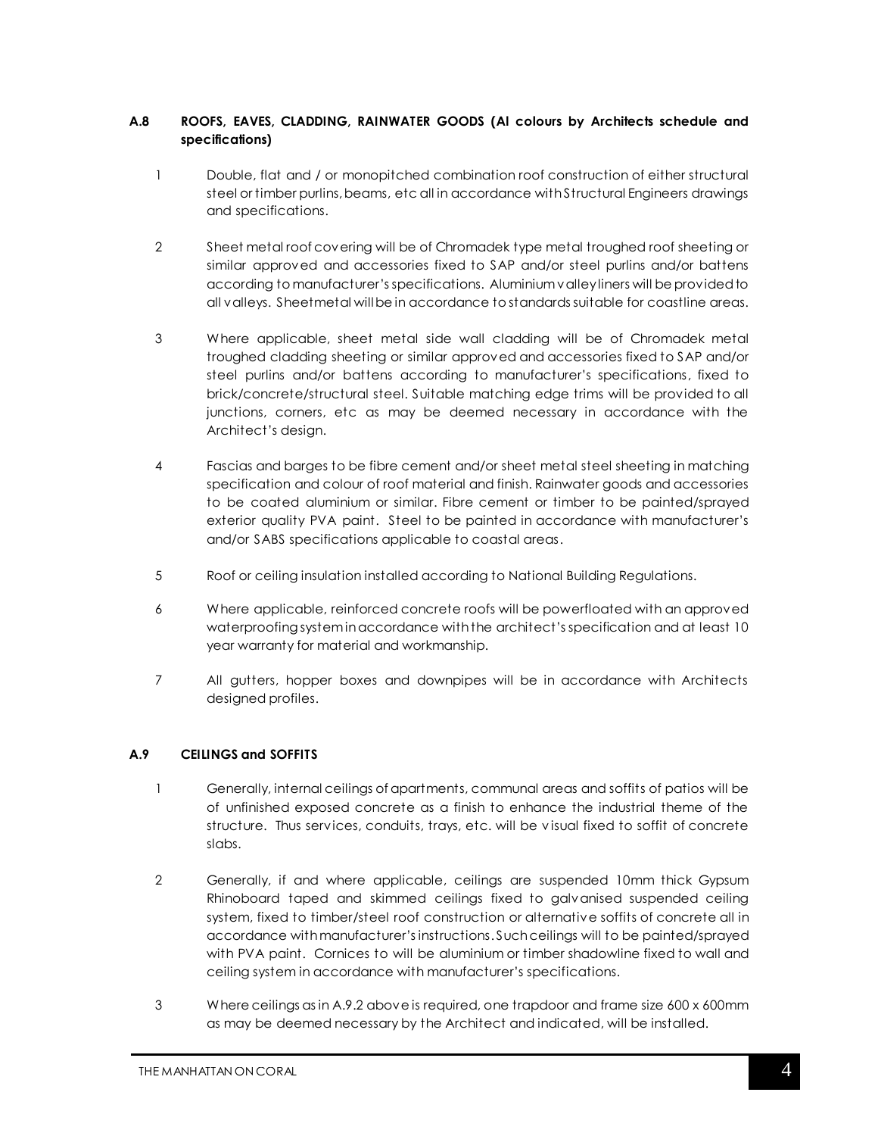# **A.8 ROOFS, EAVES, CLADDING, RAINWATER GOODS (Al colours by Architects schedule and specifications)**

- 1 Double, flat and / or monopitched combination roof construction of either structural steel or timber purlins, beams, etc all in accordance with Structural Engineers drawings and specifications.
- 2 Sheet metal roof covering will be of Chromadek type metal troughed roof sheeting or similar approved and accessories fixed to SAP and/or steel purlins and/or battens according to manufacturer's specifications. Aluminium valley liners will be provided to all valleys. Sheetmetal will be in accordance to standards suitable for coastline areas.
- 3 Where applicable, sheet metal side wall cladding will be of Chromadek metal troughed cladding sheeting or similar approved and accessories fixed to SAP and/or steel purlins and/or battens according to manufacturer's specifications, fixed to brick/concrete/structural steel. Suitable matching edge trims will be provided to all junctions, corners, etc as may be deemed necessary in accordance with the Architect's design.
- 4 Fascias and barges to be fibre cement and/or sheet metal steel sheeting in matching specification and colour of roof material and finish. Rainwater goods and accessories to be coated aluminium or similar. Fibre cement or timber to be painted/sprayed exterior quality PVA paint. Steel to be painted in accordance with manufacturer's and/or SABS specifications applicable to coastal areas.
- 5 Roof or ceiling insulation installed according to National Building Regulations.
- 6 Where applicable, reinforced concrete roofs will be powerfloated with an approved waterproofing system in accordance with the architect's specification and at least 10 year warranty for material and workmanship.
- 7 All gutters, hopper boxes and downpipes will be in accordance with Architects designed profiles.

# **A.9 CEILINGS and SOFFITS**

- 1 Generally, internal ceilings of apartments, communal areas and soffits of patios will be of unfinished exposed concrete as a finish to enhance the industrial theme of the structure. Thus services, conduits, trays, etc. will be v isual fixed to soffit of concrete slabs.
- 2 Generally, if and where applicable, ceilings are suspended 10mm thick Gypsum Rhinoboard taped and skimmed ceilings fixed to galvanised suspended ceiling system, fixed to timber/steel roof construction or alternative soffits of concrete all in accordance with manufacturer's instructions. Such ceilings will to be painted/sprayed with PVA paint. Cornices to will be aluminium or timber shadowline fixed to wall and ceiling system in accordance with manufacturer's specifications.
- 3 Where ceilings as in A.9.2 above is required, one trapdoor and frame size 600 x 600mm as may be deemed necessary by the Architect and indicated, will be installed.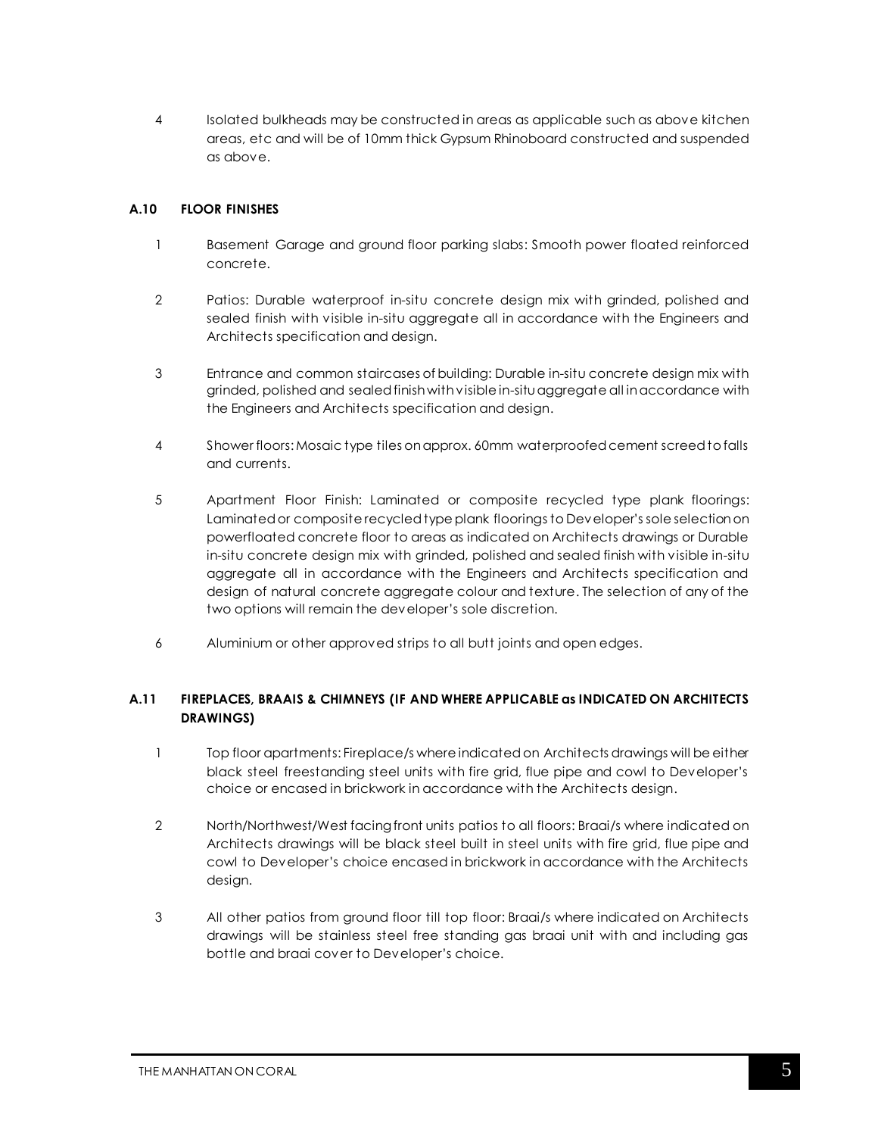4 Isolated bulkheads may be constructed in areas as applicable such as above kitchen areas, etc and will be of 10mm thick Gypsum Rhinoboard constructed and suspended as above.

# **A.10 FLOOR FINISHES**

- 1 Basement Garage and ground floor parking slabs: Smooth power floated reinforced concrete.
- 2 Patios: Durable waterproof in-situ concrete design mix with grinded, polished and sealed finish with visible in-situ aggregate all in accordance with the Engineers and Architects specification and design.
- 3 Entrance and common staircases of building: Durable in-situ concrete design mix with grinded, polished and sealed finish with visible in-situ aggregate all in accordance with the Engineers and Architects specification and design.
- 4 Shower floors:Mosaic type tiles on approx. 60mm waterproofed cement screed to falls and currents.
- 5 Apartment Floor Finish: Laminated or composite recycled type plank floorings: Laminated or composite recycled type plank floorings to Developer's sole selectionon powerfloated concrete floor to areas as indicated on Architects drawings or Durable in-situ concrete design mix with grinded, polished and sealed finish with visible in-situ aggregate all in accordance with the Engineers and Architects specification and design of natural concrete aggregate colour and texture. The selection of any of the two options will remain the developer's sole discretion.
- 6 Aluminium or other approved strips to all butt joints and open edges.

# **A.11 FIREPLACES, BRAAIS & CHIMNEYS (IF AND WHERE APPLICABLE as INDICATED ON ARCHITECTS DRAWINGS)**

- 1 Top floor apartments: Fireplace/s where indicatedon Architects drawings will be either black steel freestanding steel units with fire grid, flue pipe and cowl to Developer's choice or encased in brickwork in accordance with the Architects design.
- 2 North/Northwest/West facing front units patios to all floors: Braai/s where indicated on Architects drawings will be black steel built in steel units with fire grid, flue pipe and cowl to Developer's choice encased in brickwork in accordance with the Architects design.
- 3 All other patios from ground floor till top floor: Braai/s where indicated on Architects drawings will be stainless steel free standing gas braai unit with and including gas bottle and braai cover to Developer's choice.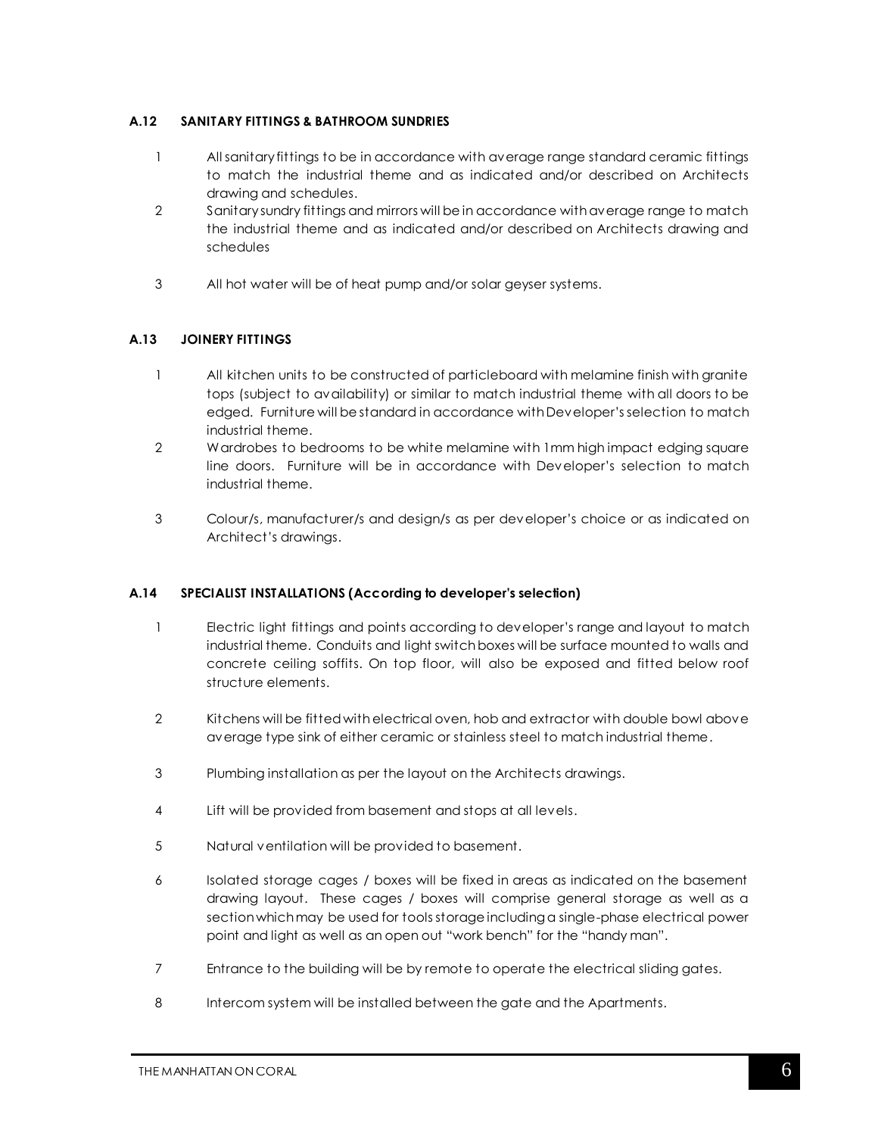# **A.12 SANITARY FITTINGS & BATHROOM SUNDRIES**

- 1 All sanitary fittings to be in accordance with average range standard ceramic fittings to match the industrial theme and as indicated and/or described on Architects drawing and schedules.
- 2 Sanitary sundry fittings and mirrors will be in accordance with average range to match the industrial theme and as indicated and/or described on Architects drawing and schedules
- 3 All hot water will be of heat pump and/or solar geyser systems.

# **A.13 JOINERY FITTINGS**

- 1 All kitchen units to be constructed of particleboard with melamine finish with granite tops (subject to availability) or similar to match industrial theme with all doors to be edged. Furniture will be standard in accordance with Developer's selection to match industrial theme.
- 2 Wardrobes to bedrooms to be white melamine with 1mm high impact edging square line doors. Furniture will be in accordance with Developer's selection to match industrial theme.
- 3 Colour/s, manufacturer/s and design/s as per developer's choice or as indicated on Architect's drawings.

# **A.14 SPECIALIST INSTALLATIONS (According to developer's selection)**

- 1 Electric light fittings and points according to developer's range and layout to match industrial theme. Conduits and light switch boxes will be surface mounted to walls and concrete ceiling soffits. On top floor, will also be exposed and fitted below roof structure elements.
- 2 Kitchens will be fitted with electrical oven, hob and extractor with double bowl above average type sink of either ceramic or stainless steel to match industrial theme.
- 3 Plumbing installation as per the layout on the Architects drawings.
- 4 Lift will be provided from basement and stops at all levels.
- 5 Natural ventilation will be provided to basement.
- 6 Isolated storage cages / boxes will be fixed in areas as indicated on the basement drawing layout. These cages / boxes will comprise general storage as well as a section which may be used for tools storage including a single-phase electrical power point and light as well as an open out "work bench" for the "handy man".
- 7 Entrance to the building will be by remote to operate the electrical sliding gates.
- 8 Intercom system will be installed between the gate and the Apartments.